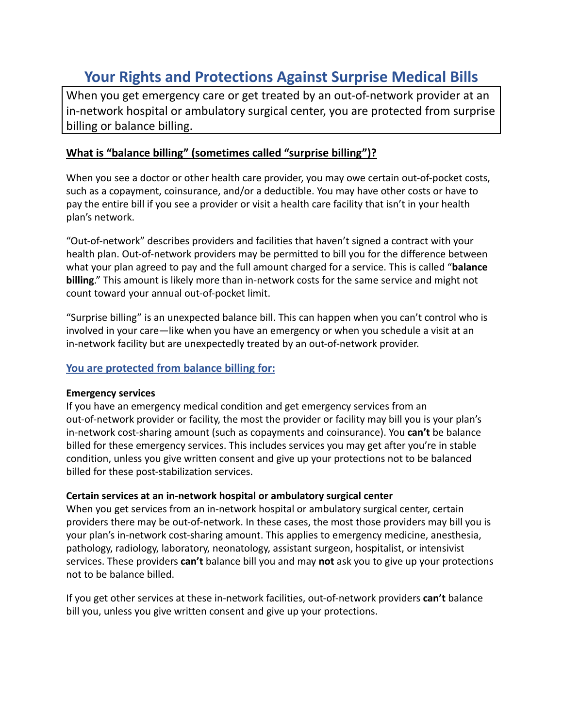# **Your Rights and Protections Against Surprise Medical Bills**

When you get emergency care or get treated by an out-of-network provider at an in-network hospital or ambulatory surgical center, you are protected from surprise billing or balance billing.

## **What is "balance billing" (sometimes called "surprise billing")?**

When you see a doctor or other health care provider, you may owe certain out-of-pocket costs, such as a copayment, coinsurance, and/or a deductible. You may have other costs or have to pay the entire bill if you see a provider or visit a health care facility that isn't in your health plan's network.

"Out-of-network" describes providers and facilities that haven't signed a contract with your health plan. Out-of-network providers may be permitted to bill you for the difference between what your plan agreed to pay and the full amount charged for a service. This is called "**balance billing**." This amount is likely more than in-network costs for the same service and might not count toward your annual out-of-pocket limit.

"Surprise billing" is an unexpected balance bill. This can happen when you can't control who is involved in your care—like when you have an emergency or when you schedule a visit at an in-network facility but are unexpectedly treated by an out-of-network provider.

### **You are protected from balance billing for:**

#### **Emergency services**

If you have an emergency medical condition and get emergency services from an out-of-network provider or facility, the most the provider or facility may bill you is your plan's in-network cost-sharing amount (such as copayments and coinsurance). You **can't** be balance billed for these emergency services. This includes services you may get after you're in stable condition, unless you give written consent and give up your protections not to be balanced billed for these post-stabilization services.

### **Certain services at an in-network hospital or ambulatory surgical center**

When you get services from an in-network hospital or ambulatory surgical center, certain providers there may be out-of-network. In these cases, the most those providers may bill you is your plan's in-network cost-sharing amount. This applies to emergency medicine, anesthesia, pathology, radiology, laboratory, neonatology, assistant surgeon, hospitalist, or intensivist services. These providers **can't** balance bill you and may **not** ask you to give up your protections not to be balance billed.

If you get other services at these in-network facilities, out-of-network providers **can't** balance bill you, unless you give written consent and give up your protections.